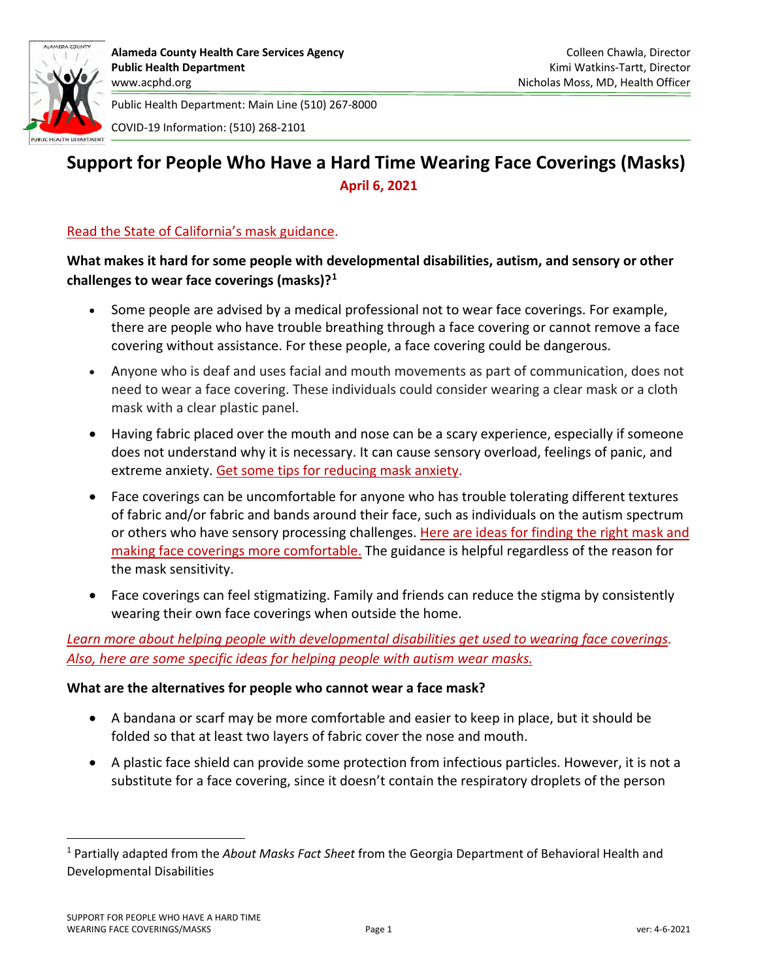

Public Health Department: Main Line (510) 267-8000 COVID-19 Information: (510) 268-2101

# **Support for People Who Have a Hard Time Wearing Face Coverings (Masks) April 6, 2021**

# [Read the State of California's mask guidance.](https://www.cdph.ca.gov/Programs/CID/DCDC/Pages/COVID-19/guidance-for-face-coverings.aspx)

# **What makes it hard for some people with developmental disabilities, autism, and sensory or other challenges to wear face coverings (masks)?[1](#page-0-0)**

- Some people are advised by a medical professional not to wear face coverings. For example, there are people who have trouble breathing through a face covering or cannot remove a face covering without assistance. For these people, a face covering could be dangerous.
- Anyone who is deaf and uses facial and mouth movements as part of communication, does not need to wear a face covering. These individuals could consider wearing a clear mask or a cloth mask with a clear plastic panel.
- Having fabric placed over the mouth and nose can be a scary experience, especially if someone does not understand why it is necessary. It can cause sensory overload, feelings of panic, and extreme anxiety. [Get some tips for reducing mask anxiety.](https://health.clevelandclinic.org/how-to-overcome-mask-anxiety/)
- Face coverings can be uncomfortable for anyone who has trouble tolerating different textures of fabric and/or fabric and bands around their face, such as individuals on the autism spectrum or others who have sensory processing challenges. [Here are ideas for finding the right mask and](https://autismsocietyofhawaii.org/sensory-friendly-masks/)  [making face coverings](https://autismsocietyofhawaii.org/sensory-friendly-masks/) more comfortable. The guidance is helpful regardless of the reason for the mask sensitivity.
- Face coverings can feel stigmatizing. Family and friends can reduce the stigma by consistently wearing their own face coverings when outside the home.

*Learn more about helping people [with developmental disabilities get used to wearing face coverings.](https://rwjms.rutgers.edu/boggscenter/links/documents/HelpingAdultswIDDFaceMasks-F.pdf) [Also, here are some specific ideas](https://www.autismnj.org/article/helping-individuals-with-autism-wear-face-masks/) for helping people with autism wear masks.*

### **What are the alternatives for people who cannot wear a face mask?**

- A bandana or scarf may be more comfortable and easier to keep in place, but it should be folded so that at least two layers of fabric cover the nose and mouth.
- A plastic face shield can provide some protection from infectious particles. However, it is not a substitute for a face covering, since it doesn't contain the respiratory droplets of the person

<span id="page-0-0"></span><sup>1</sup> Partially adapted from the *About Masks Fact Sheet* from the Georgia Department of Behavioral Health and Developmental Disabilities